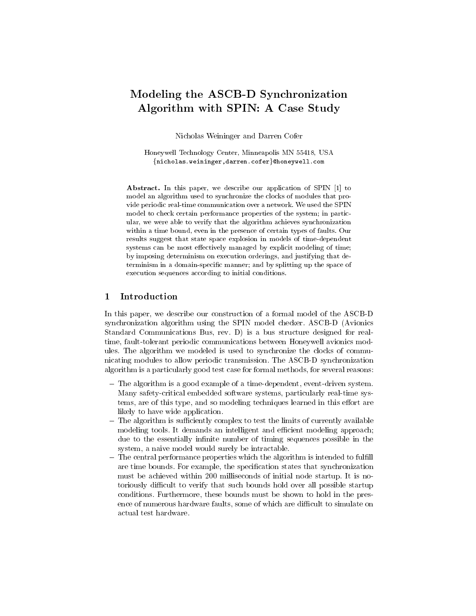# Modeling the ASCB-D Synchronization Algorithm with SPIN: A Case Study

Nicholas Weininger and Darren Cofer

Honeywell Technology Center, Minneapolis MN 55418, USA  $\{nicholas.weininger, darren.cofer\}$ @honeywell.com

Abstract. In this paper, we describe our application of SPIN [1] to model an algorithm used to synchronize the clocks of modules that provide periodic real-time communication over a network. We used the SPIN model to check certain performance properties of the system; in particular, we were able to verify that the algorithm achieves synchronization within a time bound, even in the presence of certain types of faults. Our results suggest that state space explosion in models of time-dependent systems can be most effectively managed by explicit modeling of time; by imposing determinism on execution orderings, and justifying that determinism in a domain-specic manner; and by splitting up the space of execution sequences according to initial conditions.

# 1 Introduction

In this paper, we describe our construction of a formal model of the ASCB-D synchronization algorithm using the SPIN model checker. ASCB-D (Avionics Standard Communications Bus, rev. D) is a bus structure designed for realtime, fault-tolerant periodic communications between Honeywell avionics modules. The algorithm we modeled is used to synchronize the clocks of communicating modules to allow periodic transmission. The ASCB-D synchronization algorithm is a particularly good test case for formal methods, for several reasons:

- { The algorithm is a good example of a time-dependent, event-driven system. Many safety-critical embedded software systems, particularly real-time systems, are of this type, and so modeling techniques learned in this effort are likely to have wide application.
- ${\rm -}$  The algorithm is sufficiently complex to test the limits of currently available modeling tools. It demands an intelligent and efficient modeling approach; due to the essentially infinite number of timing sequences possible in the system, a naive model would surely be intractable.
- $-$  The central performance properties which the algorithm is intended to fulfill are time bounds. For example, the specication states that synchronization must be achieved within 200 milliseconds of initial node startup. It is notoriously difficult to verify that such bounds hold over all possible startup conditions. Furthermore, these bounds must be shown to hold in the presence of numerous hardware faults, some of which are difficult to simulate on actual test hardware.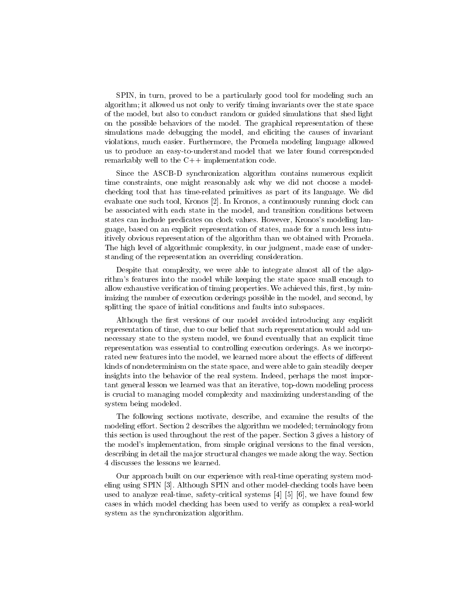SPIN, in turn, proved to be a particularly good tool for modeling such an algorithm; it allowed us not only to verify timing invariants over the state space of the model, but also to conduct random or guided simulations that shed light on the possible behaviors of the model. The graphical representation of these simulations made debugging the model, and eliciting the causes of invariant violations, much easier. Furthermore, the Promela modeling language allowed us to produce an easy-to-understand model that we later found corresponded remarkably well to the  $C++$  implementation code.

Since the ASCB-D synchronization algorithm contains numerous explicit time constraints, one might reasonably ask why we did not choose a modelchecking tool that has time-related primitives as part of its language. We did evaluate one such tool, Kronos [2]. In Kronos, a continuously running clock can be associated with each state in the model, and transition conditions between states can include predicates on clock values. However, Kronos's modeling language, based on an explicit representation of states, made for a much less intuitively obvious representation of the algorithm than we obtained with Promela. The high level of algorithmic complexity, in our judgment, made ease of understanding of the representation an overriding consideration.

Despite that complexity, we were able to integrate almost all of the algorithm's features into the model while keeping the state space small enough to allow exhaustive verification of timing properties. We achieved this, first, by minimizing the number of execution orderings possible in the model, and second, by splitting the space of initial conditions and faults into subspaces.

Although the first versions of our model avoided introducing any explicit representation of time, due to our belief that such representation would add unnecessary state to the system model, we found eventually that an explicit time representation was essential to controlling execution orderings. As we incorporated new features into the model, we learned more about the effects of different kinds of nondeterminism on the state space, and were able to gain steadily deeper insights into the behavior of the real system. Indeed, perhaps the most important general lesson we learned was that an iterative, top-down modeling process is crucial to managing model complexity and maximizing understanding of the system being modeled.

The following sections motivate, describe, and examine the results of the modeling effort. Section 2 describes the algorithm we modeled; terminology from this section is used throughout the rest of the paper. Section 3 gives a history of the model's implementation, from simple original versions to the final version, describing in detail the major structural changes we made along the way. Section 4 discusses the lessons we learned.

Our approach built on our experience with real-time operating system modeling using SPIN [3]. Although SPIN and other model-checking tools have been used to analyze real-time, safety-critical systems  $\begin{bmatrix} 4 \end{bmatrix}$  [5]  $\begin{bmatrix} 6 \end{bmatrix}$ , we have found few cases in which model checking has been used to verify as complex a real-world system as the synchronization algorithm.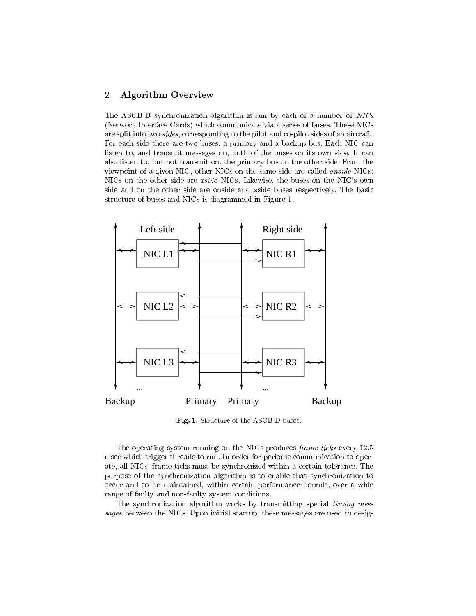# 2 Algorithm Overview

The ASCB-D synchronization algorithm is run by each of a number of NICs (Network Interface Cards) which communicate via a series of buses. These NICs are split into two sides, corresponding to the pilot and co-pilot sides of an aircraft. For each side there are two buses, a primary and a backup bus. Each NIC can listen to, and transmit messages on, both of the buses on its own side. It can also listen to, but not transmit on, the primary bus on the other side. From the viewpoint of a given NIC, other NICs on the same side are called onside NICs; NICs on the other side are xside NICs. Likewise, the buses on the NIC's own side and on the other side are onside and xside buses respectively. The basic structure of buses and NICs is diagrammed in Figure 1.



Fig. 1. Structure of the ASCB-D buses.

The operating system running on the NICs produces frame ticks every 12.5 msec which trigger threads to run. In order for periodic communication to operate, all NICs' frame ticks must be synchronized within a certain tolerance. The purpose of the synchronization algorithm is toenable that synchronization to occur and to be maintained, within certain performance bounds, over a wide range of faulty and non-faulty system conditions.

The synchronization algorithm works by transmitting special timing messages between the NICs. Upon initial startup, these messages are used to desig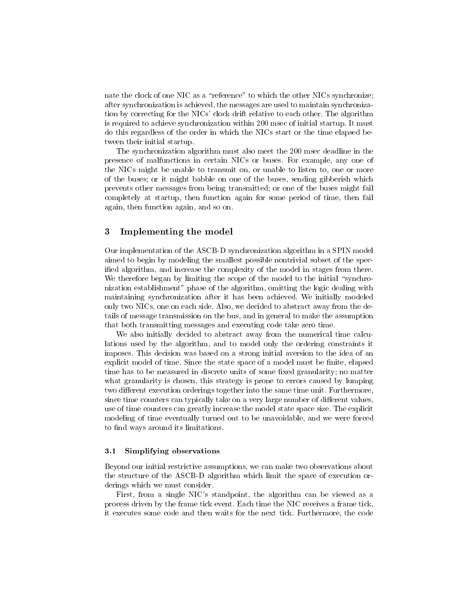nate the clock of one NIC as a "reference" to which the other NICs synchronize; after synchronization is achieved, the messages are used to maintain synchronization by correcting for the NICs' clock drift relative to each other. The algorithm is required to achieve synchronization within 200 msec of initial startup. It must do this regardless of the order in which the NICs start or the time elapsed between their initial startup.

The synchronization algorithm must also meet the 200 msec deadline in the presence of malfunctions in certain NICs or buses. For example, any one of the NICs might be unable to transmit on, or unable to listen to, one or more of the buses; or it might babble on one of the buses, sending gibberish which prevents other messages from being transmitted; or one of the buses might fail completely at startup, then function again for some period of time, then fail again, then function again, and so on.

# 3 Implementing the model

Our implementation of the ASCB-D synchronization algorithm in a SPIN model aimed to begin by modeling the smallest possible nontrivial subset of the specied algorithm, and increase the complexity of the model in stages from there. We therefore began by limiting the scope of the model to the initial "synchronization establishment" phase of the algorithm, omitting the logic dealing with maintaining synchronization after it has been achieved. We initially modeled only two NICs, one on each side. Also, we decided to abstract away from the details of message transmission on the bus, and in general to make the assumption that both transmitting messages and executing code take zero time.

We also initially decided to abstract away from the numerical time calculations used by the algorithm, and to model only the ordering constraints it imposes. This decision was based on a strong initial aversion to the idea of an explicit model of time. Since the state space of a model must be finite, elapsed time has to be measured in discrete units of some fixed granularity; no matter what granularity is chosen, this strategy is prone to errors caused by lumping two different execution orderings together into the same time unit. Furthermore, since time counters can typically take on a very large number of different values, use of time counters can greatly increase the model state space size. The explicit modeling of time eventually turned out to be unavoidable, and we were forced to find ways around its limitations.

#### $3.1$ Simplifying observations

Beyond our initial restrictive assumptions, we can make two observations about the structure of the ASCB-D algorithm which limit the space of execution orderings which we must consider.

First, from a single NIC's standpoint, the algorithm can be viewed as a process driven by the frame tick event. Each time the NIC receives a frame tick, it executes some code and then waits for the next tick. Furthermore, the code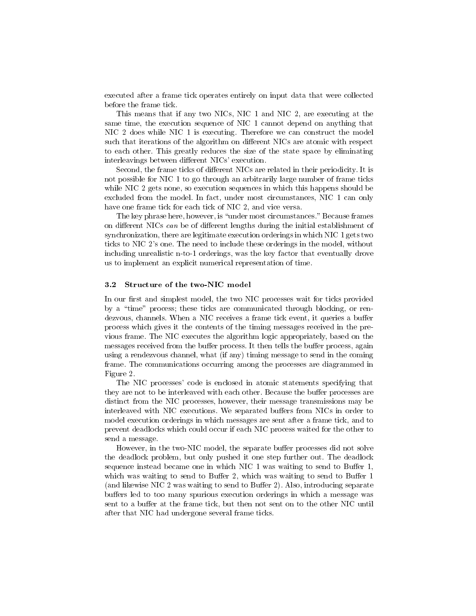executed after a frame tick operates entirely on input data that were collected before the frame tick.

This means that if any two NICs, NIC 1 and NIC 2, are executing at the same time, the execution sequence of NIC 1 cannot depend on anything that NIC 2 does while NIC 1 is executing. Therefore we can construct the model such that iterations of the algorithm on different NICs are atomic with respect to each other. This greatly reduces the size of the state space by eliminating interleavings between different NICs' execution.

Second, the frame ticks of different NICs are related in their periodicity. It is not possible for NIC 1 to go through an arbitrarily large number of frame ticks while NIC 2 gets none, so execution sequences in which this happens should be excluded from the model. In fact, under most circumstances, NIC 1 can only have one frame tick for each tick of NIC 2, and vice versa.

The key phrase here, however, is "under most circumstances." Because frames on different NICs can be of different lengths during the initial establishment of synchronization, there are legitimate execution orderings in which NIC 1 gets two ticks to NIC 2's one. The need to include these orderings in the model, without including unrealistic n-to-1 orderings, was the key factor that eventually drove us to implement an explicit numerical representation of time.

#### 3.2 Structure of the two-NIC model

In our first and simplest model, the two NIC processes wait for ticks provided by a "time" process; these ticks are communicated through blocking, or rendezvous, channels. When a NIC receives a frame tick event, it queries a buffer process which gives it the contents of the timing messages received in the previous frame. The NIC executes the algorithm logic appropriately, based on the messages received from the buffer process. It then tells the buffer process, again using a rendezvous channel, what (if any) timing message to send in the coming frame. The communications occurring among the processes are diagrammed in Figure 2.

The NIC processes' code is enclosed in atomic statements specifying that they are not to be interleaved with each other. Because the buffer processes are distinct from the NIC processes, however, their message transmissions may be interleaved with NIC executions. We separated buffers from NICs in order to model execution orderings in which messages are sent after a frame tick, and to prevent deadlocks which could occur if each NIC process waited for the other to send a message.

However, in the two-NIC model, the separate buffer processes did not solve the deadlock problem, but only pushed it one step further out. The deadlock sequence instead became one in which NIC  $1$  was waiting to send to Buffer  $1$ , which was waiting to send to Buffer 2, which was waiting to send to Buffer  $1$ (and likewise NIC 2 was waiting to send to Buffer 2). Also, introducing separate buffers led to too many spurious execution orderings in which a message was sent to a buffer at the frame tick, but then not sent on to the other NIC until after that NIC had undergone several frame ticks.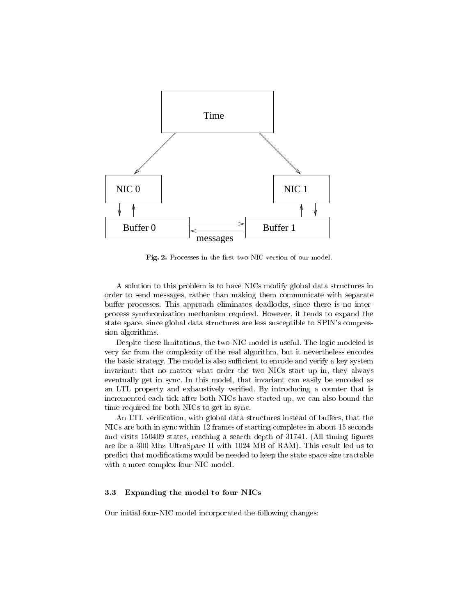

Fig. 2. Processes in the first two-NIC version of our model.

A solution to this problem is to have NICs modify global data structures in order to send messages, rather than making them communicate with separate buffer processes. This approach eliminates deadlocks, since there is no interprocess synchronization mechanism required. However, it tends to expand the state space, since global data structures are less susceptible to SPIN's compression algorithms.

Despite these limitations, the two-NIC model is useful. The logic modeled is very far from the complexity of the real algorithm, but it nevertheless encodes the basic strategy. The model is also sufficient to encode and verify a key system invariant: that no matter what order the two NICs start up in, they always eventually get in sync. In this model, that invariant can easily be encoded as an LTL property and exhaustively veried. By introducing a counter that is incremented each tick after both NICs have started up, we can also bound the time required for both NICs to get in sync.

An LTL verification, with global data structures instead of buffers, that the NICs are both in sync within 12 frames of starting completes in about 15 seconds and visits 150409 states, reaching a search depth of 31741. (All timing figures are for a 300 Mhz UltraSparc II with 1024 MB of RAM). This result led us to predict that modifications would be needed to keep the state space size tractable with a more complex four-NIC model.

### 3.3 Expanding the model to four NICs

Our initial four-NIC model incorporated the following changes: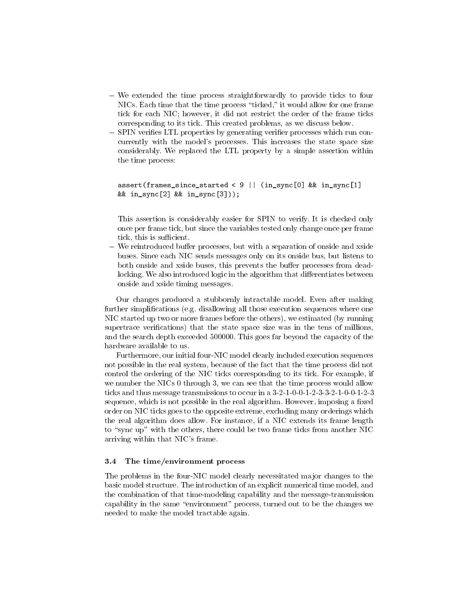- We extended the time process straightforwardly to provide ticks to four NICs. Each time that the time process \ticked," it would allow for one frame tick for each NIC; however, it did not restrict the order of the frame ticks corresponding to its tick. This created problems, as we discuss below.
- SPIN verifies LTL properties by generating verifier processes which run concurrently with the model's processes. This increases the state space size considerably. We replaced the LTL property by a simple assertion within the time process:

assert(frames\_since\_started < 9 || (in\_sync[0]  $\&$  in\_sync[1]  $& 2 \in [2]$   $& 2 \in [3]$ );

This assertion is considerably easier for SPIN to verify. It is checked only once per frame tick, but since the variables tested only change once per frame tick, this is sufficient.

- We reintroduced buffer processes, but with a separation of onside and xside buses. Since each NIC sends messages only on its onside bus, but listens to both onside and xside buses, this prevents the buffer processes from deadlocking. We also introduced logic in the algorithm that differentiates between onside and xside timing messages.

Our changes produced a stubbornly intractable model. Even after making further simplications (e.g. disallowing all those execution sequences where one NIC started up two or more frames before the others), we estimated (by running supertrace verifications) that the state space size was in the tens of millions, and the search depth exceeded 500000. This goes far beyond the capacity of the hardware available to us.

Furthermore, our initial four-NIC model clearly included execution sequences not possible in the real system, because of the fact that the time process did not control the ordering of the NIC ticks corresponding to its tick. For example, if we number the NICs 0 through 3, we can see that the time process would allow ticks and thus message transmissions to occur in a 3-2-1-0-0-1-2-3-3-2-1-0-0-1-2-3 sequence, which is not possible in the real algorithm. However, imposing a fixed order on NIC ticks goes to the opposite extreme, excluding many orderings which the real algorithm does allow. For instance, if a NIC extends its frame length to "sync up" with the others, there could be two frame ticks from another NIC arriving within that NIC's frame.

### 3.4 The time/environment process

The problems in the four-NIC model clearly necessitated major changes to the basic model structure. The introduction of an explicit numerical time model, and the combination of that time-modeling capability and the message-transmission capability in the same "environment" process, turned out to be the changes we needed to make the model tractable again.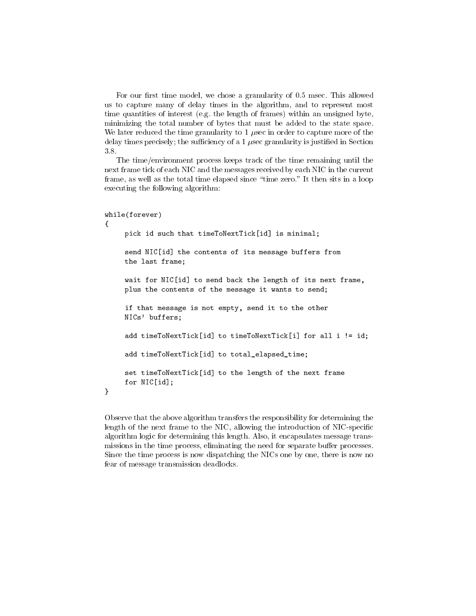For our first time model, we chose a granularity of 0.5 msec. This allowed us to capture many of delay times in the algorithm, and to represent most time quantities of interest (e.g. the length of frames) within an unsigned byte, minimizing the total number of bytes that must be added to the state space. We later reduced the time granularity to  $1 \mu$ sec in order to capture more of the delay times precisely; the sufficiency of a 1  $\mu$ sec granularity is justified in Section 3.8.

The time/environment process keeps track of the time remaining until the next frame tick of each NIC and the messages received by each NIC in the current frame, as well as the total time elapsed since \time zero." It then sits in a loop executing the following algorithm:

```
while(forever)
\mathcal{L}{\color{red} \bullet} . The contract of the contract of the contract of the contract of the contract of the contract of the contract of the contract of the contract of the contract of the contract of the contract of the contract of 
       pick id such that timeToNextTick[id] is minimal;
       send NIC[id] the contents of its message buffers from
       the last frame;
       wait for NIC[id] to send back the length of its next frame,
       plus the contents of the message it wants to send;
       if that message is not empty, send it to the other
       NICs' buffers;
       add timeToNextTick[id] to timeToNextTick[i] for all i != id;
       add timeToNextTick[id] to total_elapsed_time;
       set timeToNextTick[id] to the length of the next frame
       for NIC[id];
<sup>}</sup>
}
```
Observe that the above algorithm transfers the responsibility for determining the length of the next frame to the NIC, allowing the introduction of NIC-specific algorithm logic for determining this length. Also, it encapsulates message transmissions in the time process, eliminating the need for separate buffer processes. Since the time process is now dispatching the NICs one by one, there is now no fear of message transmission deadlocks.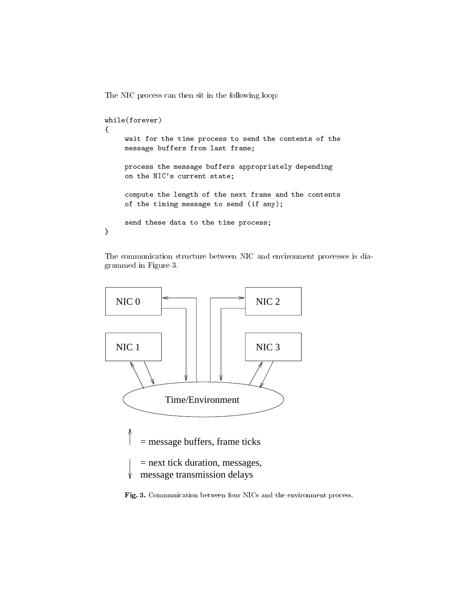The NIC process can then sit in the following loop:

```
while(forever)
{
    wait for the time process to send the contents of the
    message buffers from last frame;
    process the message buffers appropriately depending
     on the NIC's current state;
     compute the length of the next frame and the contents
     of the timing message to send (if any);
     send these data to the time process;
}
```
The communication structure between NIC and environment processes is diagrammed in Figure 3.



Fig. 3. Communication between four NICs and the environment process.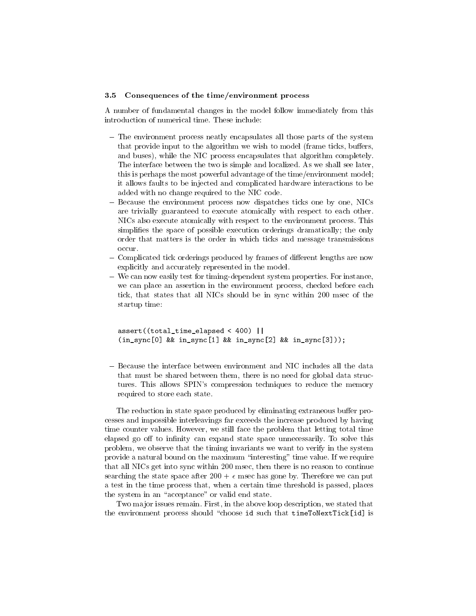#### 3.5 Consequences of the time/environment process

A number of fundamental changes in the model follow immediately from this introduction of numerical time. These include:

- The environment process neatly encapsulates all those parts of the system that provide input to the algorithm we wish to model (frame ticks, buffers, and buses), while the NIC process encapsulates that algorithm completely. The interface between the two is simple and localized. As we shall see later, this is perhaps the most powerful advantage of the time/environment model; it allows faults to be injected and complicated hardware interactions to be added with no change required to the NIC code.
- Because the environment process now dispatches ticks one by one, NICs are trivially guaranteed to execute atomically with respect to each other. NICs also execute atomically with respect to the environment process. This simplifies the space of possible execution orderings dramatically; the only order that matters is the order in which ticks and message transmissions  $\alpha$ ccur
- Complicated tick orderings produced by frames of different lengths are now explicitly and accurately represented in the model.
- { We can now easily test for timing-dependent system properties. For instance, we can place an assertion in the environment process, checked before each tick, that states that all NICs should be in sync within 200 msec of the startup time:

```
assert((total_time_elapsed < 400) ||
(in_sync[0] && in_sync[1] && in_sync[2] && in_sync[3]));
```
{ Because the interface between environment and NIC includes all the data that must be shared between them, there is no need for global data structures. This allows SPIN's compression techniques to reduce the memory required to store each state.

The reduction in state space produced by eliminating extraneous buffer processes and impossible interleavings far exceeds the increase produced by having time counter values. However, we still face the problem that letting total time elapsed go off to infinity can expand state space unnecessarily. To solve this problem, we observe that the timing invariants we want to verify in the system provide a natural bound on the maximum \interesting" time value. If we require that all NICs get into sync within 200 msec, then there is no reason to continue searching the state space after  $200 + \epsilon$  msec has gone by. Therefore we can put a test in the time process that, when a certain time threshold is passed, places the system in an "acceptance" or valid end state.

Two major issues remain. First, in the above loop description, we stated that the environment process should "choose id such that timeToNextTick[id] is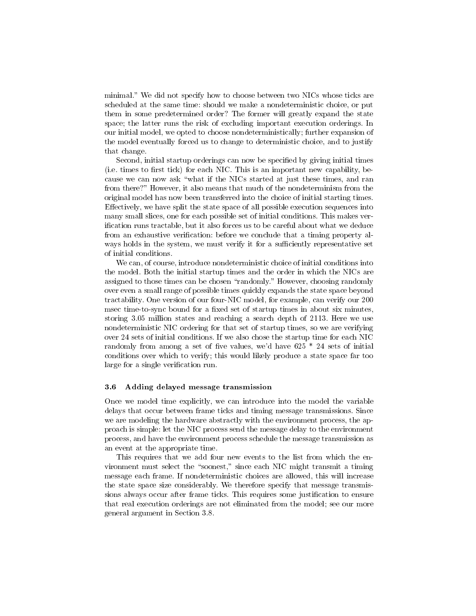minimal." We did not specify how to choose between two NICs whose ticks are scheduled at the same time: should we make a nondeterministic choice, or put them in some predetermined order? The former will greatly expand the state space; the latter runs the risk of excluding important execution orderings. In our initial model, we opted to choose nondeterministically; further expansion of the model eventually forced us to change to deterministic choice, and to justify that change.

Second, initial startup orderings can now be specified by giving initial times  $(i.e.$  times to first tick) for each NIC. This is an important new capability, because we can now ask "what if the NICs started at just these times, and ran from there?" However, it also means that much of the nondeterminism from the original model has now been transferred into the choice of initial starting times. Effectively, we have split the state space of all possible execution sequences into many small slices, one for each possible set of initial conditions. This makes verication runs tractable, but it also forces us to be careful about what we deduce from an exhaustive verification: before we conclude that a timing property always holds in the system, we must verify it for a sufficiently representative set of initial conditions.

We can, of course, introduce nondeterministic choice of initial conditions into the model. Both the initial startup times and the order in which the NICs are assigned to those times can be chosen "randomly." However, choosing randomly over even a small range of possible times quickly expands the state space beyond tractability. One version of our four-NIC model, for example, can verify our 200 msec time-to-sync bound for a fixed set of startup times in about six minutes, storing 3.05 million states and reaching a search depth of 2113. Here we use nondeterministic NIC ordering for that set of startup times, so we are verifying over 24 sets of initial conditions. If we also chose the startup time for each NIC randomly from among a set of five values, we'd have  $625 * 24$  sets of initial conditions over which to verify; this would likely produce a state space far too large for a single verification run.

### 3.6 Adding delayed message transmission

Once we model time explicitly, we can introduce into the model the variable delays that occur between frame ticks and timing message transmissions. Since we are modeling the hardware abstractly with the environment process, the approach is simple: let the NIC process send the message delay to the environment process, and have the environment process schedule the message transmission as an event at the appropriate time.

This requires that we add four new events to the list from which the environment must select the "soonest," since each NIC might transmit a timing message each frame. If nondeterministic choices are allowed, this will increase the state space size considerably. We therefore specify that message transmissions always occur after frame ticks. This requires some justification to ensure that real execution orderings are not eliminated from the model; see our more general argument in Section 3.8.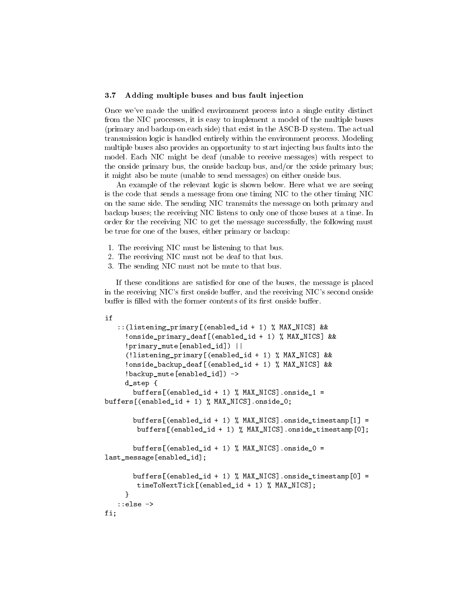#### 3.7 Adding multiple buses and bus fault injection

Once we've made the unified environment process into a single entity distinct from the NIC processes, it is easy to implement a model of the multiple buses (primary and backup on each side) that exist in the ASCB-D system. The actual transmission logic is handled entirely within the environment process. Modeling multiple buses also provides an opportunity to start injecting bus faults into the model. Each NIC might be deaf (unable to receive messages) with respect to the onside primary bus, the onside backup bus, and/or the xside primary bus; it might also be mute (unable to send messages) on either onside bus.

An example of the relevant logic is shown below. Here what we are seeing is the code that sends a message from one timing NIC to the other timing NIC on the same side. The sending NIC transmits the message on both primary and backup buses; the receiving NIC listens to only one of those buses at a time. In order for the receiving NIC to get the message successfully, the following must be true for one of the buses, either primary or backup:

- 1. The receiving NIC must be listening to that bus.
- 2. The receiving NIC must not be deaf to that bus.
- 3. The sending NIC must not be mute to that bus.

if

If these conditions are satisfied for one of the buses, the message is placed in the receiving NIC's first onside buffer, and the receiving NIC's second onside buffer is filled with the former contents of its first onside buffer.

```
::(listening_primary[(enabled_id + 1) % MAX_NICS] &&
     !onside_primary_deaf[(enabled_id + 1) % MAX_NICS] &&
     !primary_mute[enabled_id]) ||
     (!listening_primary[(enabled_id + 1) % MAX_NICS] &&
     !onside_backup_deaf[(enabled_id + 1) % MAX_NICS] &&
     !backup_mute[enabled_id]) ->
     d_step {
      buffers[(enabled_id + 1) % MAX_NICS].onside_1 =
buffers[(enabled_id + 1) % MAX_NICS].onside_0;
      buffers[(enabled_id + 1) % MAX_NICS].onside_timestamp[1] =
       buffers[(enabled_id + 1) % MAX_NICS].onside_timestamp[0];
      buffers[(enabled_id + 1) % MAX_NICS].onside_0 =
last_message[enabled_id];
      buffers[(enabled_id + 1) % MAX_NICS].onside_timestamp[0] =
       timeToNextTick[(enabled_id + 1) % MAX_NICS];
     Y
     }
   ::else ->
fi;
```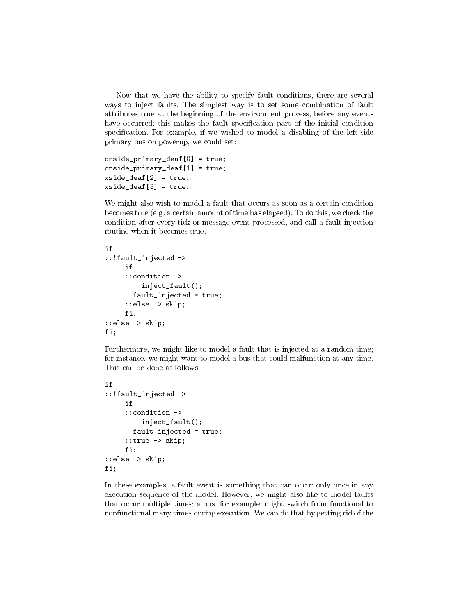Now that we have the ability to specify fault conditions, there are several ways to inject faults. The simplest way is to set some combination of fault attributes true at the beginning of the environment process, before any events have occurred; this makes the fault specification part of the initial condition specication. For example, if we wished to model a disabling of the left-side primary bus on powerup, we could set:

```
onside_primary_deaf[0] = true;
onside_primary_deaf[1] = true;
xside\_deaf[2] = true;xside deaf[3] = true;
```
We might also wish to model a fault that occurs as soon as a certain condition becomes true (e.g. a certain amount of time has elapsed). To do this, we check the condition after every tick or message event processed, and call a fault injection routine when it becomes true.

```
if
::!fault_injected ->
     if
     ::condition ->
         inject_fault();
       fault_injected = true;
     ::else -> skip;
     fi;
::else -> skip;
fi;
```
Furthermore, we might like to model a fault that is injected at a random time; for instance, we might want to model a bus that could malfunction at any time. This can be done as follows:

```
::!fault_injected ->
              if
              : condition ->
                         inject_fault();
                   fault_injected = true;
              ::true -> skip;
             fi;
::else -> skip;
fi:
figures the contract of the contract of the contract of the contract of the contract of the contract of the contract of the contract of the contract of the contract of the contract of the contract of the contract of the co
```
In these examples, a fault event is something that can occur only once in any execution sequence of the model. However, we might also like to model faults that occur multiple times; a bus, for example, might switch from functional to nonfunctional many times during execution. We can do that by getting rid of the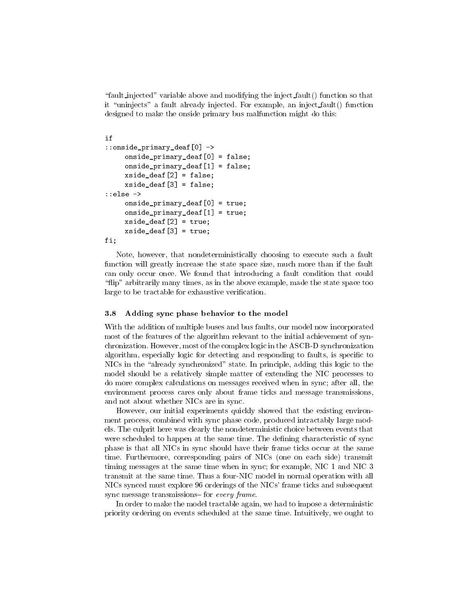"fault injected" variable above and modifying the inject  $fault()$  function so that it "uninjects" a fault already injected. For example, an inject fault() function designed to make the onside primary bus malfunction might do this:

```
if
::onside_primary_deaf[0] ->
     onside_primary_deaf[0] = false;
     onside_primary_deaf[1] = false;
     xside_deaf[2] = false;
     xside_deaf[3] = false;
::else ->
     onside primary deaf[0] = true;
     onside_primary_deaf[1] = true;
     xside_deaf[2] = true;
     xside_deaf[3] = true;
fi;
```
Note, however, that nondeterministically choosing to execute such a fault function will greatly increase the state space size, much more than if the fault can only occur once. We found that introducing a fault condition that could "flip" arbitrarily many times, as in the above example, made the state space too large to be tractable for exhaustive verification.

#### 3.8 Adding sync phase behavior to the model

With the addition of multiple buses and bus faults, our model now incorporated most of the features of the algorithm relevant to the initial achievement of synchronization. However, most of the complex logic in the ASCB-D synchronization algorithm, especially logic for detecting and responding to faults, is specific to NICs in the "already synchronized" state. In principle, adding this logic to the model should be a relatively simple matter of extending the NIC processes to do more complex calculations on messages received when in sync; after all, the environment process cares only about frame ticks and message transmissions, and not about whether NICs are in sync.

However, our initial experiments quickly showed that the existing environment process, combined with sync phase code, produced intractably large models. The culprit here was clearly the nondeterministic choice between events that were scheduled to happen at the same time. The defining characteristic of sync phase is that all NICs in sync should have their frame ticks occur at the same time. Furthermore, corresponding pairs of NICs (one on each side) transmit timing messages at the same time when in sync; for example, NIC 1 and NIC 3 transmit at the same time. Thus a four-NIC model in normal operation with all NICs synced must explore 96 orderings of the NICs' frame ticks and subsequent sync message transmissions for every frame.

In order to make the model tractable again, we had to impose a deterministic priority ordering on events scheduled at the same time. Intuitively, we ought to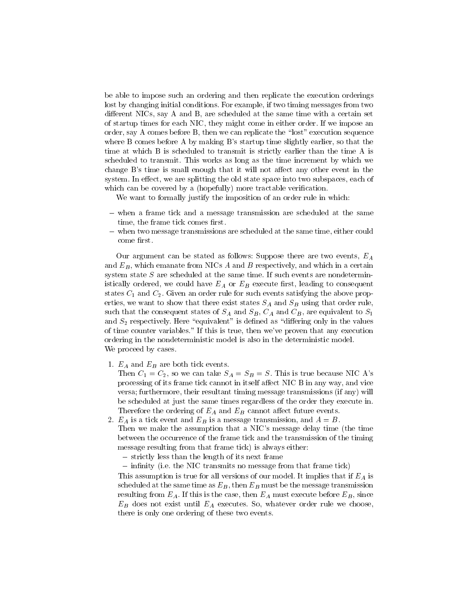be able to impose such an ordering and then replicate the execution orderings lost by changing initial conditions. For example, if two timing messages from two different NICs, say  $A$  and  $B$ , are scheduled at the same time with a certain set of startup times for each NIC, they might come in either order. If we impose an order, say A comes before B, then we can replicate the "lost" execution sequence where B comes before A by making B's startup time slightly earlier, so that the time at which B is scheduled to transmit is strictly earlier than the time A is scheduled to transmit. This works as long as the time increment by which we change B's time is small enough that it will not affect any other event in the system. In effect, we are splitting the old state space into two subspaces, each of which can be covered by a (hopefully) more tractable verification.

We want to formally justify the imposition of an order rule in which:

- when a frame tick and a message transmission are scheduled at the same time, the frame tick comes first.
- $-$  when two message transmissions are scheduled at the same time, either could come first.

Our argument can be stated as follows: Suppose there are two events,  $E_A$ and  $E_B$ , which emanate from NICs  $A$  and  $B$  respectively, and which in a certain system state  $S$  are scheduled at the same time. If such events are nondeterministically ordered, we could have  $E_A$  or  $E_B$  execute first, leading to consequent states  $C_1$  and  $C_2$ . Given an order rule for such events satisfying the above properties, we want to show that there exist states  $S_A$  and  $S_B$  using that order rule, such that the consequent states of  $S_A$  and  $S_B$ ,  $C_A$  and  $C_B$ , are equivalent to  $S_1$ and  $S_2$  respectively. Here "equivalent" is defined as "differing only in the values of time counter variables." If this is true, then we've proven that any execution ordering in the nondeterministic model is also in the deterministic model. We proceed by cases.

1.  $E_A$  and  $E_B$  are both tick events.

Then  $C_1 = C_2$ , so we can take  $S_A = S_B = S$ . This is true because NIC A's processing of its frame tick cannot in itself affect NIC B in any way, and vice versa; furthermore, their resultant timing message transmissions (if any) will be scheduled at just the same times regardless of the order they execute in. Therefore the ordering of  $E_A$  and  $E_B$  cannot affect future events.

2.  $E_A$  is a tick event and  $E_B$  is a message transmission, and  $A = B$ .

Then we make the assumption that a NIC's message delay time (the time between the occurrence of the frame tick and the transmission of the timing message resulting from that frame tick) is always either:

- strictly less than the length of its next frame

 $-$  infinity (i.e. the NIC transmits no message from that frame tick)

This assumption is true for all versions of our model. It implies that if  $E_A$  is scheduled at the same time as  $E_B$ , then  $E_B$  must be the message transmission resulting from  $E_A$ . If this is the case, then  $E_A$  must execute before  $E_B$ , since  $E_B$  does not exist until  $E_A$  executes. So, whatever order rule we choose, there is only one ordering of these two events.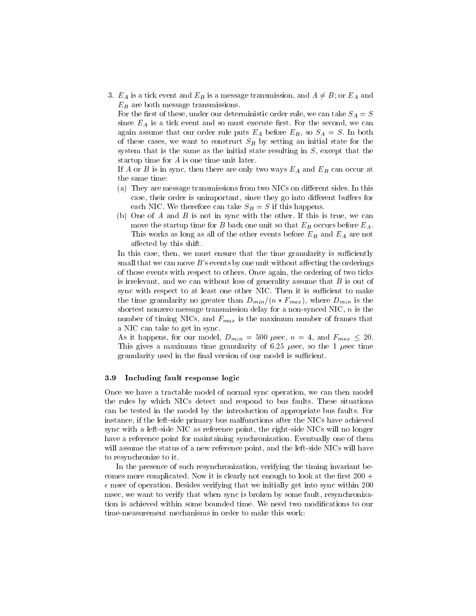3.  $E_A$  is a tick event and  $E_B$  is a message transmission, and  $A \neq B$ ; or  $E_A$  and  $E_B$  are both message transmissions.

For the first of these, under our deterministic order rule, we can take  $S_A = S$ since  $E_A$  is a tick event and so must execute first. For the second, we can again assume that our order rule puts  $E_A$  before  $E_B$ , so  $S_A = S$ . In both of these cases, we want to construct  $S_B$  by setting an initial state for the system that is the same as the initial state resulting in  $S$ , except that the startup time for A is one time unit later.

If A or B is in sync, then there are only two ways  $E_A$  and  $E_B$  can occur at the same time:

- (a) They are message transmissions from two NICs on different sides. In this case, their order is unimportant, since they go into different buffers for each NIC. We therefore can take  $S_B = S$  if this happens.
- (b) One of  $A$  and  $B$  is not in sync with the other. If this is true, we can move the startup time for B back one unit so that  $E_B$  occurs before  $E_A$ . This works as long as all of the other events before  $E_B$  and  $E_A$  are not affected by this shift.

In this case, then, we must ensure that the time granularity is sufficiently small that we can move  $B$ 's events by one unit without affecting the orderings of those events with respect to others. Once again, the ordering of two ticks is irrelevant, and we can without loss of generality assume that  $B$  is out of sync with respect to at least one other NIC. Then it is sufficient to make the time granularity no greater than  $D_{min}/(n * F_{max})$ , where  $D_{min}$  is the shortest nonzero message transmission delay for a non-synced NIC,  $n$  is the number of timing NICs, and  $F_{max}$  is the maximum number of frames that a NIC can take to get in sync.

As it happens, for our model,  $D_{min} = 500$   $\mu$ sec,  $n = 4$ , and  $F_{max} \leq 20$ . This gives a maximum time granularity of 6.25  $\mu$ sec, so the 1  $\mu$ sec time granularity used in the final version of our model is sufficient.

#### $3.9$ Including fault response logic

Once we have a tractable model of normal sync operation, we can then model the rules by which NICs detect and respond to bus faults. These situations can be tested in the model by the introduction of appropriate bus faults. For instance, if the left-side primary bus malfunctions after the NICs have achieved sync with a left-side NIC as reference point, the right-side NICs will no longer have a reference point for maintaining synchronization. Eventually one of them will assume the status of a new reference point, and the left-side NICs will have to resynchronize to it.

In the presence of such resynchronization, verifying the timing invariant becomes more complicated. Now it is clearly not enough to look at the first  $200 +$  $\epsilon$  msec of operation. Besides verifying that we initially get into sync within 200 msec, we want to verify that when sync is broken by some fault, resynchronization is achieved within some bounded time. We need two modifications to our time-measurement mechanisms in order to make this work: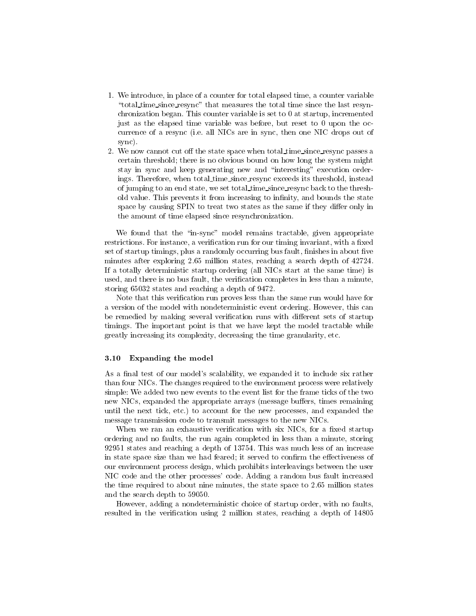- 1. We introduce, in place of a counter for total elapsed time, a counter variable "total time since resync" that measures the total time since the last resynchronization began. This counter variable is set to 0 at startup, incremented just as the elapsed time variable was before, but reset to 0 upon the occurrence of a resync (i.e. all NICs are in sync, then one NIC drops out of sync).
- 2. We now cannot cut off the state space when total time since resync passes a certain threshold; there is no obvious bound on how long the system might stay in sync and keep generating new and "interesting" execution orderings. Therefore, when total time since resync exceeds its threshold, instead of jumping to an end state, we set total time since resync back to the threshold value. This prevents it from increasing to infinity, and bounds the state space by causing SPIN to treat two states as the same if they differ only in the amount of time elapsed since resynchronization.

We found that the "in-sync" model remains tractable, given appropriate restrictions. For instance, a verification run for our timing invariant, with a fixed set of startup timings, plus a randomly occurring bus fault, finishes in about five minutes after exploring 2.65 million states, reaching a search depth of 42724. If a totally deterministic startup ordering (all NICs start at the same time) is used, and there is no bus fault, the verification completes in less than a minute, storing 65032 states and reaching a depth of 9472.

Note that this verication run proves less than the same run would have for a version of the model with nondeterministic event ordering. However, this can be remedied by making several verification runs with different sets of startup timings. The important point is that we have kept the model tractable while greatly increasing its complexity, decreasing the time granularity, etc.

# 3.10 Expanding the model

As a final test of our model's scalability, we expanded it to include six rather than four NICs. The changes required to the environment process were relatively simple: We added two new events to the event list for the frame ticks of the two new NICs, expanded the appropriate arrays (message buffers, times remaining until the next tick, etc.) to account for the new processes, and expanded the message transmission code to transmit messages to the new NICs.

When we ran an exhaustive verification with six NICs, for a fixed startup ordering and no faults, the run again completed in less than a minute, storing 92951 states and reaching a depth of 13754. This was much less of an increase in state space size than we had feared; it served to confirm the effectiveness of our environment process design, which prohibits interleavings between the user NIC code and the other processes' code. Adding a random bus fault increased the time required to about nine minutes, the state space to 2.65 million states and the search depth to 59050.

However, adding a nondeterministic choice of startup order, with no faults, resulted in the verification using 2 million states, reaching a depth of 14805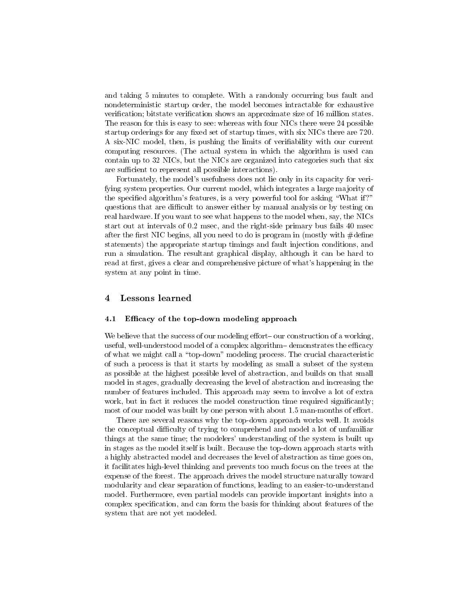and taking 5 minutes to complete. With a randomly occurring bus fault and nondeterministic startup order, the model becomes intractable for exhaustive verification; bitstate verification shows an approximate size of 16 million states. The reason for this is easy to see: whereas with four NICs there were 24 possible startup orderings for any fixed set of startup times, with six NICs there are 720. A six-NIC model, then, is pushing the limits of veriability with our current computing resources. (The actual system in which the algorithm is used can contain up to 32 NICs, but the NICs are organized into categories such that six are sufficient to represent all possible interactions).

Fortunately, the model's usefulness does not lie only in its capacity for verifying system properties. Our current model, which integrates a large ma jority of the specified algorithm's features, is a very powerful tool for asking "What if?" questions that are difficult to answer either by manual analysis or by testing on real hardware. If you want to see what happens to the model when, say, the NICs start out at intervals of 0.2 msec, and the right-side primary bus fails 40 msec after the first NIC begins, all you need to do is program in (mostly with  $\#$ define statements) the appropriate startup timings and fault injection conditions, and run a simulation. The resultant graphical display, although it can be hard to read at first, gives a clear and comprehensive picture of what's happening in the system at any point in time.

## 4 Lessons learned

#### Efficacy of the top-down modeling approach  $4.1$

We believe that the success of our modeling effort  $-\text{our construction of a working}$ , useful, well-understood model of a complex algorithm-demonstrates the efficacy of what we might call a \top-down" modeling process. The crucial characteristic of such a process is that it starts by modeling as small a subset of the system as possible at the highest possible level of abstraction, and builds on that small model in stages, gradually decreasing the level of abstraction and increasing the number of features included. This approach may seem to involve a lot of extra work, but in fact it reduces the model construction time required significantly; most of our model was built by one person with about 1.5 man-months of effort.

There are several reasons why the top-down approach works well. It avoids the conceptual difficulty of trying to comprehend and model a lot of unfamiliar things at the same time; the modelers' understanding of the system is built up in stages as the model itself is built. Because the top-down approach starts with a highly abstracted model and decreases the level of abstraction as time goes on, it facilitates high-level thinking and prevents too much focus on the trees at the expense of the forest. The approach drives the model structure naturally toward modularity and clear separation of functions, leading to an easier-to-understand model. Furthermore, even partial models can provide important insights into a complex specication, and can form the basis for thinking about features of the system that are not yet modeled.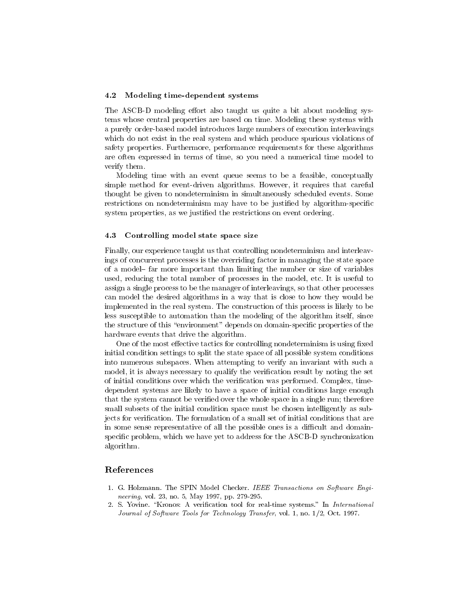### 4.2 Modeling time-dependent systems

The ASCB-D modeling effort also taught us quite a bit about modeling systems whose central properties are based on time. Modeling these systems with a purely order-based model introduces large numbers of execution interleavings which do not exist in the real system and which produce spurious violations of safety properties. Furthermore, performance requirements for these algorithms are often expressed in terms of time, so you need a numerical time model to verify them.

Modeling time with an event queue seems to be a feasible, conceptually simple method for event-driven algorithms. However, it requires that careful thought be given to nondeterminism in simultaneously scheduled events. Some restrictions on nondeterminism may have to be justified by algorithm-specific system properties, as we justified the restrictions on event ordering.

### 4.3 Controlling model state space size

Finally, our experience taught us that controlling nondeterminism and interleavings of concurrent processes is the overriding factor in managing the state space of a model-far more important than limiting the number or size of variables used, reducing the total number of processes in the model, etc. It is useful to assign a single process to be the manager of interleavings, so that other processes can model the desired algorithms in a way that is close to how they would be implemented in the real system. The construction of this process is likely to be less susceptible to automation than the modeling of the algorithm itself, since the structure of this "environment" depends on domain-specific properties of the hardware events that drive the algorithm.

One of the most effective tactics for controlling nondeterminism is using fixed initial condition settings to split the state space of all possible system conditions into numerous subspaces. When attempting to verify an invariant with such a model, it is always necessary to qualify the verification result by noting the set of initial conditions over which the verification was performed. Complex, timedependent systems are likely to have a space of initial conditions large enough that the system cannot be verified over the whole space in a single run; therefore small subsets of the initial condition space must be chosen intelligently as subjects for verication. The formulation of a small set of initial conditions that are in some sense representative of all the possible ones is a difficult and domainspecific problem, which we have yet to address for the ASCB-D synchronization algorithm.

# References

- 1. G. Holzmann. The SPIN Model Checker. IEEE Transactions on Software Engineering, vol. 23, no. 5, May 1997, pp. 279-295.
- 2. S. Yovine. "Kronos: A verification tool for real-time systems." In International Journal of Software Tools for Technology Transfer, vol. 1, no. 1/2, Oct. 1997.